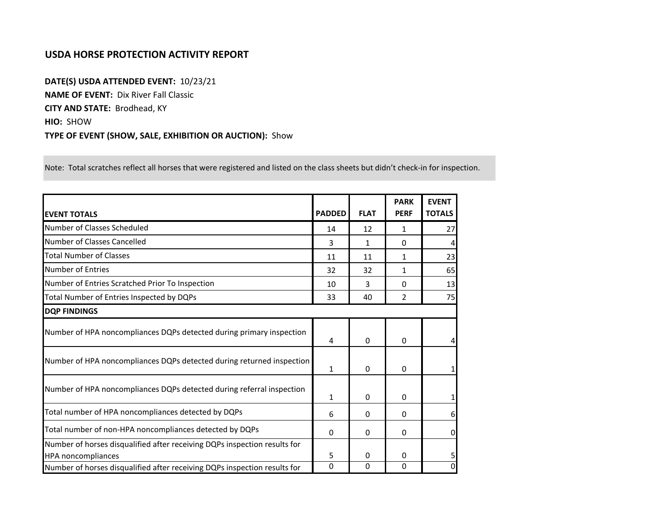## **USDA HORSE PROTECTION ACTIVITY REPORT**

**DATE(S) USDA ATTENDED EVENT:** 10/23/21 **NAME OF EVENT:** Dix River Fall Classic **CITY AND STATE:** Brodhead, KY **HIO:** SHOW **TYPE OF EVENT (SHOW, SALE, EXHIBITION OR AUCTION):** Show

Note: Total scratches reflect all horses that were registered and listed on the class sheets but didn't check-in for inspection.

| <b>EVENT TOTALS</b>                                                                                    | <b>PADDED</b> | <b>FLAT</b> | <b>PARK</b><br><b>PERF</b> | <b>EVENT</b><br><b>TOTALS</b> |
|--------------------------------------------------------------------------------------------------------|---------------|-------------|----------------------------|-------------------------------|
| Number of Classes Scheduled                                                                            | 14            | 12          | 1                          | 27                            |
| Number of Classes Cancelled                                                                            | 3             | 1           | $\Omega$                   | 4                             |
| <b>Total Number of Classes</b>                                                                         | 11            | 11          | 1                          | 23                            |
| <b>Number of Entries</b>                                                                               | 32            | 32          | 1                          | 65                            |
| Number of Entries Scratched Prior To Inspection                                                        | 10            | 3           | $\mathbf{0}$               | 13                            |
| Total Number of Entries Inspected by DQPs                                                              | 33            | 40          | $\overline{2}$             | 75                            |
| <b>DQP FINDINGS</b>                                                                                    |               |             |                            |                               |
| Number of HPA noncompliances DQPs detected during primary inspection                                   | 4             | $\Omega$    | $\Omega$                   | $\overline{4}$                |
| Number of HPA noncompliances DQPs detected during returned inspection                                  | 1             | $\Omega$    | $\Omega$                   | 1                             |
| Number of HPA noncompliances DQPs detected during referral inspection                                  | 1             | $\Omega$    | $\Omega$                   | 1                             |
| Total number of HPA noncompliances detected by DQPs                                                    | 6             | $\Omega$    | $\Omega$                   | 6                             |
| Total number of non-HPA noncompliances detected by DQPs                                                | 0             | 0           | $\mathbf{0}$               | $\mathbf 0$                   |
| Number of horses disqualified after receiving DQPs inspection results for<br><b>HPA</b> noncompliances | 5             | 0           | $\mathbf{0}$               | 5                             |
| Number of horses disqualified after receiving DQPs inspection results for                              | $\Omega$      | $\Omega$    | $\Omega$                   | $\overline{0}$                |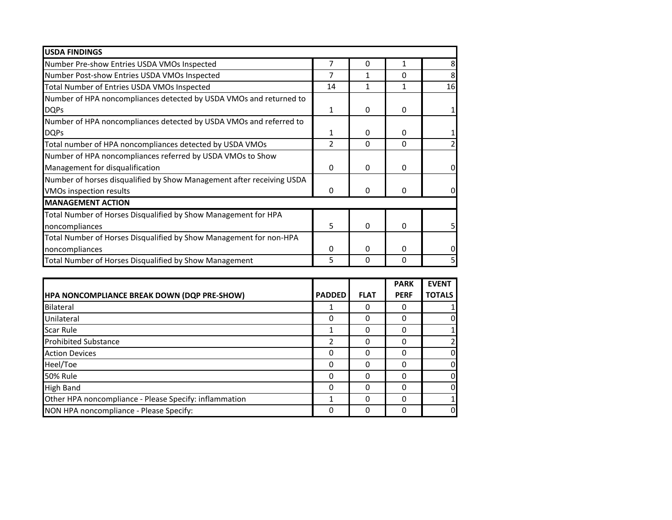| <b>USDA FINDINGS</b>                                                  |          |          |              |    |
|-----------------------------------------------------------------------|----------|----------|--------------|----|
| Number Pre-show Entries USDA VMOs Inspected                           | 7        | $\Omega$ | 1            | 8  |
| Number Post-show Entries USDA VMOs Inspected                          | 7        | 1        | 0            | 8  |
| Total Number of Entries USDA VMOs Inspected                           | 14       | 1        | 1            | 16 |
| Number of HPA noncompliances detected by USDA VMOs and returned to    |          |          |              |    |
| <b>DQPs</b>                                                           | 1        | $\Omega$ | $\mathbf{0}$ |    |
| Number of HPA noncompliances detected by USDA VMOs and referred to    |          |          |              |    |
| <b>DQPs</b>                                                           | 1        | $\Omega$ | 0            |    |
| Total number of HPA noncompliances detected by USDA VMOs              | 2        | 0        | $\Omega$     |    |
| Number of HPA noncompliances referred by USDA VMOs to Show            |          |          |              |    |
| Management for disqualification                                       | 0        | $\Omega$ | $\Omega$     | 0  |
| Number of horses disqualified by Show Management after receiving USDA |          |          |              |    |
| VMOs inspection results                                               | $\Omega$ | $\Omega$ | $\Omega$     |    |
| <b>MANAGEMENT ACTION</b>                                              |          |          |              |    |
| Total Number of Horses Disqualified by Show Management for HPA        |          |          |              |    |
| noncompliances                                                        | 5.       | $\Omega$ | $\Omega$     |    |
| Total Number of Horses Disqualified by Show Management for non-HPA    |          |          |              |    |
| noncompliances                                                        | 0        | $\Omega$ | 0            |    |
| Total Number of Horses Disqualified by Show Management                | 5        | 0        | <sup>0</sup> |    |

|                                                        |               |             | <b>PARK</b> | <b>EVENT</b>  |
|--------------------------------------------------------|---------------|-------------|-------------|---------------|
| HPA NONCOMPLIANCE BREAK DOWN (DQP PRE-SHOW)            | <b>PADDED</b> | <b>FLAT</b> | <b>PERF</b> | <b>TOTALS</b> |
| Bilateral                                              |               | 0           | 0           |               |
| Unilateral                                             | 0             | 0           | 0           | 0             |
| Scar Rule                                              | 1             | 0           | 0           |               |
| <b>Prohibited Substance</b>                            | 2             | 0           | 0           |               |
| <b>Action Devices</b>                                  | 0             | 0           | ŋ           | 0             |
| Heel/Toe                                               | 0             | 0           | ი           | 0             |
| <b>50% Rule</b>                                        | 0             | $\Omega$    | በ           | $\Omega$      |
| <b>High Band</b>                                       | 0             | 0           | በ           | 0             |
| Other HPA noncompliance - Please Specify: inflammation | 1             | 0           | 0           |               |
| NON HPA noncompliance - Please Specify:                | 0             | 0           | በ           | $\mathbf 0$   |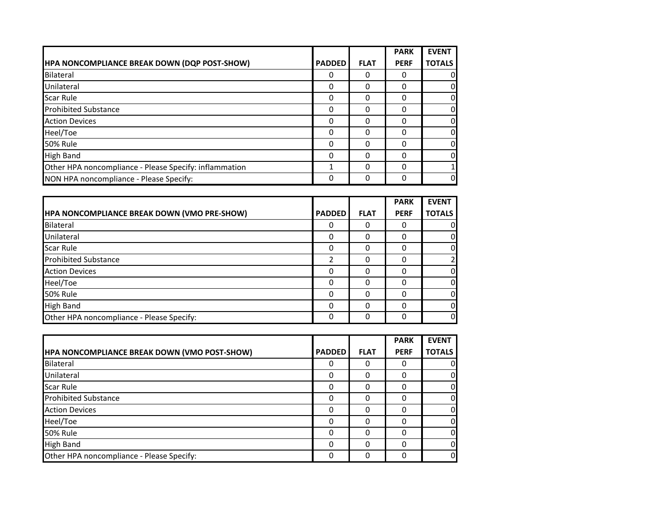|                                                        |               |             | <b>PARK</b> | <b>EVENT</b>   |
|--------------------------------------------------------|---------------|-------------|-------------|----------------|
| <b>HPA NONCOMPLIANCE BREAK DOWN (DQP POST-SHOW)</b>    | <b>PADDED</b> | <b>FLAT</b> | <b>PERF</b> | <b>TOTALS</b>  |
| Bilateral                                              | 0             | 0           | 0           | 0              |
| Unilateral                                             | 0             | 0           | 0           | $\overline{0}$ |
| <b>Scar Rule</b>                                       | 0             | 0           | 0           | $\overline{0}$ |
| <b>Prohibited Substance</b>                            | 0             | 0           | 0           | $\overline{0}$ |
| <b>Action Devices</b>                                  | 0             | O           | O           | $\overline{0}$ |
| Heel/Toe                                               | 0             | O           | 0           | $\overline{0}$ |
| <b>50% Rule</b>                                        | 0             | 0           | 0           | 0              |
| <b>High Band</b>                                       | 0             | 0           | 0           | 0              |
| Other HPA noncompliance - Please Specify: inflammation |               | 0           | 0           |                |
| NON HPA noncompliance - Please Specify:                | 0             | 0           | O           | $\Omega$       |

|                                                    |               |             | <b>PARK</b> | <b>EVENT</b>  |
|----------------------------------------------------|---------------|-------------|-------------|---------------|
| <b>HPA NONCOMPLIANCE BREAK DOWN (VMO PRE-SHOW)</b> | <b>PADDED</b> | <b>FLAT</b> | <b>PERF</b> | <b>TOTALS</b> |
| Bilateral                                          |               | 0           |             | 0             |
| Unilateral                                         | 0             | $\Omega$    |             | 0             |
| <b>Scar Rule</b>                                   | O             | 0           |             | $\Omega$      |
| <b>Prohibited Substance</b>                        | 2             | 0           |             |               |
| <b>Action Devices</b>                              | 0             | $\Omega$    |             | 0             |
| Heel/Toe                                           | O             | O           |             | $\Omega$      |
| <b>50% Rule</b>                                    | o             | ŋ           |             | 0             |
| <b>High Band</b>                                   | O             | O           |             | 0             |
| Other HPA noncompliance - Please Specify:          | 0             | O           |             | $\Omega$      |

|                                                     |               |             | <b>PARK</b> | <b>EVENT</b>   |
|-----------------------------------------------------|---------------|-------------|-------------|----------------|
| <b>HPA NONCOMPLIANCE BREAK DOWN (VMO POST-SHOW)</b> | <b>PADDED</b> | <b>FLAT</b> | <b>PERF</b> | <b>TOTALS</b>  |
| Bilateral                                           | 0             | 0           |             | 0              |
| <b>Unilateral</b>                                   | 0             | 0           |             | $\overline{0}$ |
| Scar Rule                                           | 0             | 0           |             | $\overline{0}$ |
| <b>Prohibited Substance</b>                         | 0             | 0           |             | 0              |
| <b>Action Devices</b>                               | 0             | 0           |             | $\overline{0}$ |
| Heel/Toe                                            | 0             | 0           |             | $\overline{0}$ |
| <b>50% Rule</b>                                     | 0             | O           |             | 0              |
| <b>High Band</b>                                    | 0             | 0           |             | $\overline{0}$ |
| Other HPA noncompliance - Please Specify:           | 0             | 0           |             | $\overline{0}$ |